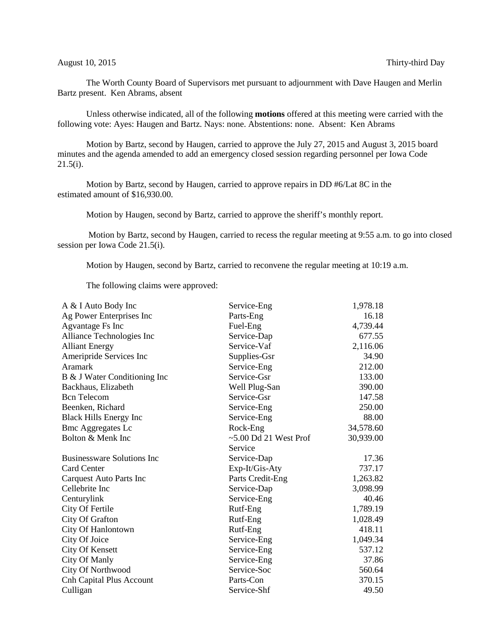The Worth County Board of Supervisors met pursuant to adjournment with Dave Haugen and Merlin Bartz present. Ken Abrams, absent

Unless otherwise indicated, all of the following **motions** offered at this meeting were carried with the following vote: Ayes: Haugen and Bartz. Nays: none. Abstentions: none. Absent: Ken Abrams

Motion by Bartz, second by Haugen, carried to approve the July 27, 2015 and August 3, 2015 board minutes and the agenda amended to add an emergency closed session regarding personnel per Iowa Code  $21.5(i)$ .

Motion by Bartz, second by Haugen, carried to approve repairs in DD #6/Lat 8C in the estimated amount of \$16,930.00.

Motion by Haugen, second by Bartz, carried to approve the sheriff's monthly report.

Motion by Bartz, second by Haugen, carried to recess the regular meeting at 9:55 a.m. to go into closed session per Iowa Code 21.5(i).

Motion by Haugen, second by Bartz, carried to reconvene the regular meeting at 10:19 a.m.

The following claims were approved:

| A & I Auto Body Inc               | Service-Eng             | 1,978.18  |
|-----------------------------------|-------------------------|-----------|
| Ag Power Enterprises Inc          | Parts-Eng               | 16.18     |
| <b>Agvantage Fs Inc</b>           | Fuel-Eng                | 4,739.44  |
| Alliance Technologies Inc         | Service-Dap             | 677.55    |
| <b>Alliant Energy</b>             | Service-Vaf             | 2,116.06  |
| Ameripride Services Inc           | Supplies-Gsr            | 34.90     |
| <b>Aramark</b>                    | Service-Eng             | 212.00    |
| B & J Water Conditioning Inc      | Service-Gsr             | 133.00    |
| Backhaus, Elizabeth               | Well Plug-San           | 390.00    |
| <b>Bcn</b> Telecom                | Service-Gsr             | 147.58    |
| Beenken, Richard                  | Service-Eng             | 250.00    |
| <b>Black Hills Energy Inc</b>     | Service-Eng             | 88.00     |
| <b>Bmc Aggregates Lc</b>          | Rock-Eng                | 34,578.60 |
| Bolton & Menk Inc                 | $~5.00$ Dd 21 West Prof | 30,939.00 |
|                                   | Service                 |           |
| <b>Businessware Solutions Inc</b> | Service-Dap             | 17.36     |
| <b>Card Center</b>                | Exp-It/Gis-Aty          | 737.17    |
| Carquest Auto Parts Inc           | Parts Credit-Eng        | 1,263.82  |
| Cellebrite Inc                    | Service-Dap             | 3,098.99  |
| Centurylink                       | Service-Eng             | 40.46     |
| City Of Fertile                   | Rutf-Eng                | 1,789.19  |
| City Of Grafton                   | Rutf-Eng                | 1,028.49  |
| City Of Hanlontown                | Rutf-Eng                | 418.11    |
| City Of Joice                     | Service-Eng             | 1,049.34  |
| <b>City Of Kensett</b>            | Service-Eng             | 537.12    |
| <b>City Of Manly</b>              | Service-Eng             | 37.86     |
| City Of Northwood                 | Service-Soc             | 560.64    |
| <b>Cnh Capital Plus Account</b>   | Parts-Con               | 370.15    |
| Culligan                          | Service-Shf             | 49.50     |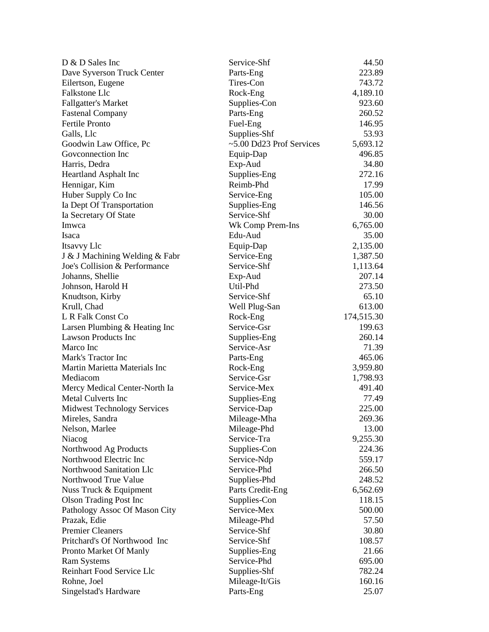| D & D Sales Inc                    | Service-Shf                       | 44.50      |
|------------------------------------|-----------------------------------|------------|
| Dave Syverson Truck Center         | Parts-Eng                         | 223.89     |
| Eilertson, Eugene                  | Tires-Con                         | 743.72     |
| Falkstone Llc                      | Rock-Eng                          | 4,189.10   |
| <b>Fallgatter's Market</b>         | Supplies-Con                      | 923.60     |
| <b>Fastenal Company</b>            | Parts-Eng                         | 260.52     |
| <b>Fertile Pronto</b>              | Fuel-Eng                          | 146.95     |
| Galls, Llc                         | Supplies-Shf                      | 53.93      |
| Goodwin Law Office, Pc             | $\approx$ 5.00 Dd23 Prof Services | 5,693.12   |
| Goveonnection Inc                  | Equip-Dap                         | 496.85     |
| Harris, Dedra                      | Exp-Aud                           | 34.80      |
| <b>Heartland Asphalt Inc</b>       | Supplies-Eng                      | 272.16     |
| Hennigar, Kim                      | Reimb-Phd                         | 17.99      |
| Huber Supply Co Inc                | Service-Eng                       | 105.00     |
| Ia Dept Of Transportation          | Supplies-Eng                      | 146.56     |
| Ia Secretary Of State              | Service-Shf                       | 30.00      |
| Imwca                              | Wk Comp Prem-Ins                  | 6,765.00   |
| Isaca                              | Edu-Aud                           | 35.00      |
| Itsavvy Llc                        | Equip-Dap                         | 2,135.00   |
| J & J Machining Welding & Fabr     | Service-Eng                       | 1,387.50   |
| Joe's Collision & Performance      | Service-Shf                       | 1,113.64   |
| Johanns, Shellie                   | Exp-Aud                           | 207.14     |
| Johnson, Harold H                  | Util-Phd                          | 273.50     |
| Knudtson, Kirby                    | Service-Shf                       | 65.10      |
| Krull, Chad                        | Well Plug-San                     | 613.00     |
| L R Falk Const Co                  | Rock-Eng                          | 174,515.30 |
| Larsen Plumbing & Heating Inc      | Service-Gsr                       | 199.63     |
| <b>Lawson Products Inc</b>         | Supplies-Eng                      | 260.14     |
| Marco Inc                          | Service-Asr                       | 71.39      |
| Mark's Tractor Inc                 | Parts-Eng                         | 465.06     |
| Martin Marietta Materials Inc      | Rock-Eng                          | 3,959.80   |
| Mediacom                           | Service-Gsr                       | 1,798.93   |
| Mercy Medical Center-North Ia      | Service-Mex                       | 491.40     |
| <b>Metal Culverts Inc</b>          | Supplies-Eng                      | 77.49      |
| <b>Midwest Technology Services</b> | Service-Dap                       | 225.00     |
| Mireles, Sandra                    | Mileage-Mha                       | 269.36     |
| Nelson, Marlee                     | Mileage-Phd                       | 13.00      |
| Niacog                             | Service-Tra                       | 9,255.30   |
| Northwood Ag Products              | Supplies-Con                      | 224.36     |
| Northwood Electric Inc             | Service-Ndp                       | 559.17     |
| Northwood Sanitation Llc           | Service-Phd                       | 266.50     |
| Northwood True Value               | Supplies-Phd                      | 248.52     |
| Nuss Truck & Equipment             | Parts Credit-Eng                  | 6,562.69   |
| <b>Olson Trading Post Inc</b>      | Supplies-Con                      | 118.15     |
| Pathology Assoc Of Mason City      | Service-Mex                       | 500.00     |
| Prazak, Edie                       | Mileage-Phd                       | 57.50      |
| <b>Premier Cleaners</b>            | Service-Shf                       | 30.80      |
| Pritchard's Of Northwood Inc       | Service-Shf                       | 108.57     |
| Pronto Market Of Manly             | Supplies-Eng                      | 21.66      |
| <b>Ram Systems</b>                 | Service-Phd                       | 695.00     |
| Reinhart Food Service Llc          | Supplies-Shf                      | 782.24     |
| Rohne, Joel                        | Mileage-It/Gis                    | 160.16     |
| Singelstad's Hardware              | Parts-Eng                         | 25.07      |
|                                    |                                   |            |